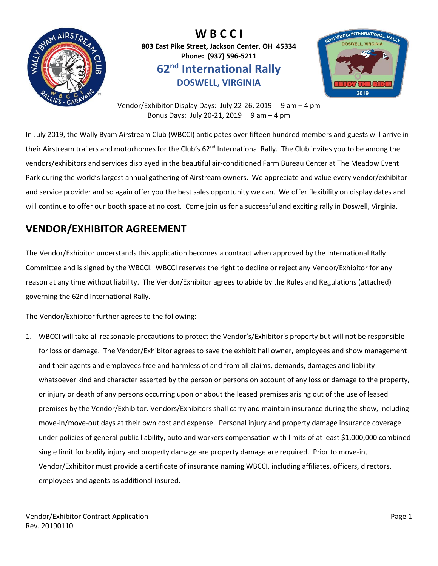

**W B C C I 803 East Pike Street, Jackson Center, OH 45334 Phone: (937) 596-5211 62nd International Rally DOSWELL, VIRGINIA**



Vendor/Exhibitor Display Days: July 22-26, 2019 9 am - 4 pm Bonus Days: July 20-21, 2019  $9$  am  $-4$  pm

In July 2019, the Wally Byam Airstream Club (WBCCI) anticipates over fifteen hundred members and guests will arrive in their Airstream trailers and motorhomes for the Club's 62<sup>nd</sup> International Rally. The Club invites you to be among the vendors/exhibitors and services displayed in the beautiful air-conditioned Farm Bureau Center at The Meadow Event Park during the world's largest annual gathering of Airstream owners. We appreciate and value every vendor/exhibitor and service provider and so again offer you the best sales opportunity we can. We offer flexibility on display dates and will continue to offer our booth space at no cost. Come join us for a successful and exciting rally in Doswell, Virginia.

### **VENDOR/EXHIBITOR AGREEMENT**

The Vendor/Exhibitor understands this application becomes a contract when approved by the International Rally Committee and is signed by the WBCCI. WBCCI reserves the right to decline or reject any Vendor/Exhibitor for any reason at any time without liability. The Vendor/Exhibitor agrees to abide by the Rules and Regulations (attached) governing the 62nd International Rally.

The Vendor/Exhibitor further agrees to the following:

1. WBCCI will take all reasonable precautions to protect the Vendor's/Exhibitor's property but will not be responsible for loss or damage. The Vendor/Exhibitor agrees to save the exhibit hall owner, employees and show management and their agents and employees free and harmless of and from all claims, demands, damages and liability whatsoever kind and character asserted by the person or persons on account of any loss or damage to the property, or injury or death of any persons occurring upon or about the leased premises arising out of the use of leased premises by the Vendor/Exhibitor. Vendors/Exhibitors shall carry and maintain insurance during the show, including move-in/move-out days at their own cost and expense. Personal injury and property damage insurance coverage under policies of general public liability, auto and workers compensation with limits of at least \$1,000,000 combined single limit for bodily injury and property damage are property damage are required. Prior to move-in, Vendor/Exhibitor must provide a certificate of insurance naming WBCCI, including affiliates, officers, directors, employees and agents as additional insured.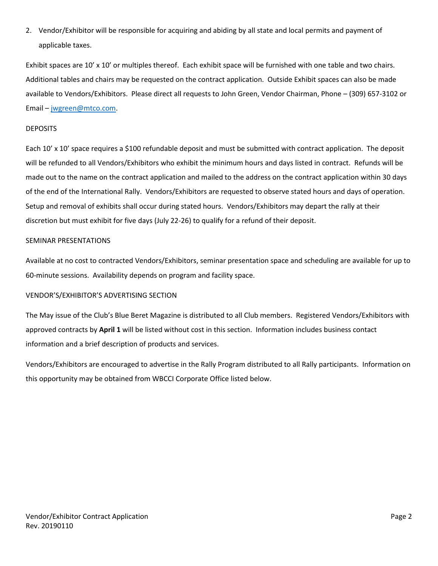2. Vendor/Exhibitor will be responsible for acquiring and abiding by all state and local permits and payment of applicable taxes.

Exhibit spaces are 10' x 10' or multiples thereof. Each exhibit space will be furnished with one table and two chairs. Additional tables and chairs may be requested on the contract application. Outside Exhibit spaces can also be made available to Vendors/Exhibitors. Please direct all requests to John Green, Vendor Chairman, Phone – (309) 657-3102 or Email – [jwgreen@mtco.com.](mailto:jwgreen@mtco.com?subject=Vendor)

#### DEPOSITS

Each 10' x 10' space requires a \$100 refundable deposit and must be submitted with contract application. The deposit will be refunded to all Vendors/Exhibitors who exhibit the minimum hours and days listed in contract. Refunds will be made out to the name on the contract application and mailed to the address on the contract application within 30 days of the end of the International Rally. Vendors/Exhibitors are requested to observe stated hours and days of operation. Setup and removal of exhibits shall occur during stated hours. Vendors/Exhibitors may depart the rally at their discretion but must exhibit for five days (July 22-26) to qualify for a refund of their deposit.

#### SEMINAR PRESENTATIONS

Available at no cost to contracted Vendors/Exhibitors, seminar presentation space and scheduling are available for up to 60-minute sessions. Availability depends on program and facility space.

### VENDOR'S/EXHIBITOR'S ADVERTISING SECTION

The May issue of the Club's Blue Beret Magazine is distributed to all Club members. Registered Vendors/Exhibitors with approved contracts by **April 1** will be listed without cost in this section. Information includes business contact information and a brief description of products and services.

Vendors/Exhibitors are encouraged to advertise in the Rally Program distributed to all Rally participants. Information on this opportunity may be obtained from WBCCI Corporate Office listed below.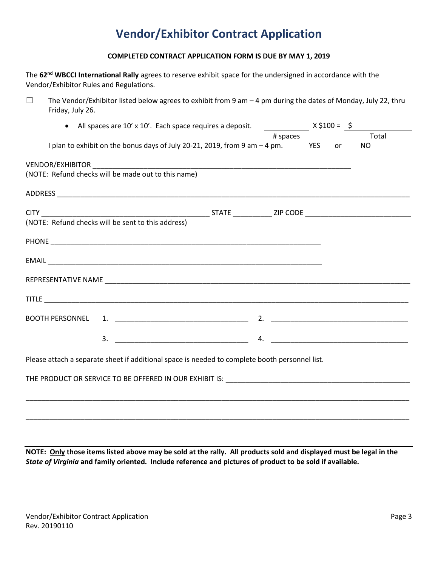### **Vendor/Exhibitor Contract Application**

#### **COMPLETED CONTRACT APPLICATION FORM IS DUE BY MAY 1, 2019**

The **62nd WBCCI International Rally** agrees to reserve exhibit space for the undersigned in accordance with the Vendor/Exhibitor Rules and Regulations.

 $\Box$  The Vendor/Exhibitor listed below agrees to exhibit from 9 am – 4 pm during the dates of Monday, July 22, thru Friday, July 26.

| • All spaces are 10' x 10'. Each space requires a deposit. $\frac{1}{2}$ $\frac{1}{2}$ $\frac{1}{2}$ $\frac{1}{2}$ $\frac{1}{2}$ $\frac{1}{2}$ $\frac{1}{2}$ $\frac{1}{2}$ $\frac{1}{2}$ $\frac{1}{2}$ $\frac{1}{2}$ $\frac{1}{2}$ $\frac{1}{2}$ $\frac{1}{2}$ $\frac{1}{2}$ $\frac{1}{2}$ $\$ |                                                                                                |  |          |  |    |           |
|------------------------------------------------------------------------------------------------------------------------------------------------------------------------------------------------------------------------------------------------------------------------------------------------|------------------------------------------------------------------------------------------------|--|----------|--|----|-----------|
|                                                                                                                                                                                                                                                                                                |                                                                                                |  | # spaces |  |    | Total     |
|                                                                                                                                                                                                                                                                                                | I plan to exhibit on the bonus days of July 20-21, 2019, from 9 am $-4$ pm. YES                |  |          |  | or | <b>NO</b> |
|                                                                                                                                                                                                                                                                                                |                                                                                                |  |          |  |    |           |
|                                                                                                                                                                                                                                                                                                | (NOTE: Refund checks will be made out to this name)                                            |  |          |  |    |           |
|                                                                                                                                                                                                                                                                                                |                                                                                                |  |          |  |    |           |
|                                                                                                                                                                                                                                                                                                |                                                                                                |  |          |  |    |           |
|                                                                                                                                                                                                                                                                                                | (NOTE: Refund checks will be sent to this address)                                             |  |          |  |    |           |
|                                                                                                                                                                                                                                                                                                |                                                                                                |  |          |  |    |           |
|                                                                                                                                                                                                                                                                                                |                                                                                                |  |          |  |    |           |
|                                                                                                                                                                                                                                                                                                |                                                                                                |  |          |  |    |           |
|                                                                                                                                                                                                                                                                                                |                                                                                                |  |          |  |    |           |
|                                                                                                                                                                                                                                                                                                |                                                                                                |  |          |  |    |           |
|                                                                                                                                                                                                                                                                                                |                                                                                                |  |          |  |    |           |
|                                                                                                                                                                                                                                                                                                | Please attach a separate sheet if additional space is needed to complete booth personnel list. |  |          |  |    |           |
|                                                                                                                                                                                                                                                                                                |                                                                                                |  |          |  |    |           |
|                                                                                                                                                                                                                                                                                                |                                                                                                |  |          |  |    |           |
|                                                                                                                                                                                                                                                                                                |                                                                                                |  |          |  |    |           |
|                                                                                                                                                                                                                                                                                                |                                                                                                |  |          |  |    |           |

**NOTE: Only those items listed above may be sold at the rally. All products sold and displayed must be legal in the**  *State of Virginia* **and family oriented. Include reference and pictures of product to be sold if available.**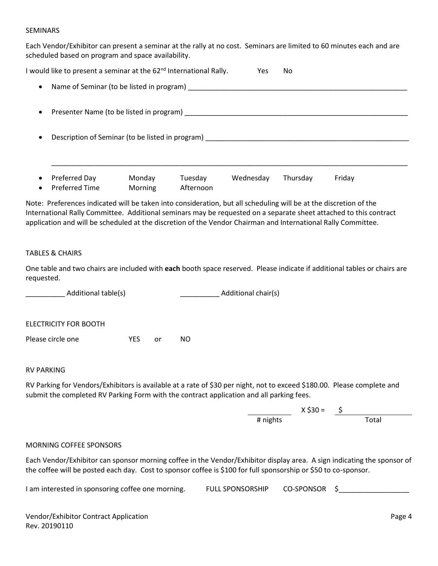#### SEMINARS

Each Vendor/Exhibitor can present a seminar at the rally at no cost. Seminars are limited to 60 minutes each and are scheduled based on program and space availability.

| I would like to present a seminar at the 62 <sup>nd</sup> International Rally. |                   |                      | Yes.      | No       |        |  |
|--------------------------------------------------------------------------------|-------------------|----------------------|-----------|----------|--------|--|
| Name of Seminar (to be listed in program)<br>$\bullet$                         |                   |                      |           |          |        |  |
| Presenter Name (to be listed in program)<br>$\bullet$                          |                   |                      |           |          |        |  |
| Description of Seminar (to be listed in program)<br>$\bullet$                  |                   |                      |           |          |        |  |
|                                                                                |                   |                      |           |          |        |  |
| Preferred Day<br>$\bullet$<br>Preferred Time<br>$\bullet$                      | Monday<br>Morning | Tuesday<br>Afternoon | Wednesday | Thursday | Friday |  |

Note: Preferences indicated will be taken into consideration, but all scheduling will be at the discretion of the International Rally Committee. Additional seminars may be requested on a separate sheet attached to this contract application and will be scheduled at the discretion of the Vendor Chairman and International Rally Committee.

#### TABLES & CHAIRS

One table and two chairs are included with **each** booth space reserved. Please indicate if additional tables or chairs are requested.

\_\_\_\_\_\_\_\_\_\_ Additional table(s) \_\_\_\_\_\_\_\_\_\_ Additional chair(s) ELECTRICITY FOR BOOTH Please circle one The YES or NO

#### RV PARKING

RV Parking for Vendors/Exhibitors is available at a rate of \$30 per night, not to exceed \$180.00. Please complete and submit the completed RV Parking Form with the contract application and all parking fees.

> X \$30 = \$ # nights Total

#### MORNING COFFEE SPONSORS

Each Vendor/Exhibitor can sponsor morning coffee in the Vendor/Exhibitor display area. A sign indicating the sponsor of the coffee will be posted each day. Cost to sponsor coffee is \$100 for full sponsorship or \$50 to co-sponsor.

| I am interested in sponsoring coffee one morning. | <b>FULL SPONSORSHIP</b> | CO-SPONSOR |  |
|---------------------------------------------------|-------------------------|------------|--|
|---------------------------------------------------|-------------------------|------------|--|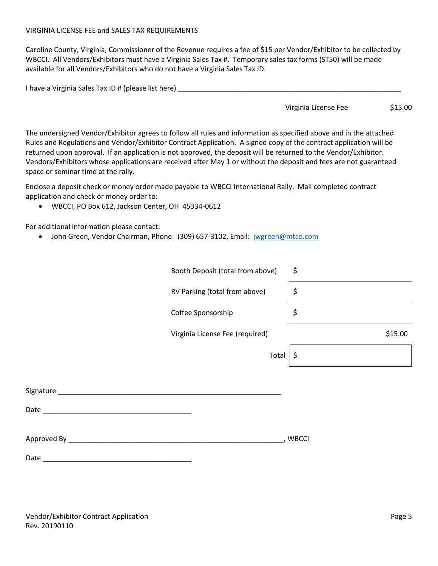#### VIRGINIA LICENSE FEE and SALES TAX REQUIREMENTS

Caroline County, Virginia, Commissioner of the Revenue requires a fee of \$15 per Vendor/Exhibitor to be collected by WBCCI. All Vendors/Exhibitors must have a Virginia Sales Tax #. Temporary sales tax forms (ST50) will be made available for all Vendors/Exhibitors who do not have a Virginia Sales Tax ID.

| I have a Virginia Sales Tax ID # (please list here) |  |
|-----------------------------------------------------|--|
|-----------------------------------------------------|--|

Virginia License Fee \$15.00

The undersigned Vendor/Exhibitor agrees to follow all rules and information as specified above and in the attached Rules and Regulations and Vendor/Exhibitor Contract Application. A signed copy of the contract application will be returned upon approval. If an application is not approved, the deposit will be returned to the Vendor/Exhibitor. Vendors/Exhibitors whose applications are received after May 1 or without the deposit and fees are not guaranteed space or seminar time at the rally.

Enclose a deposit check or money order made payable to WBCCI International Rally. Mail completed contract application and check or money order to:

• WBCCI, PO Box 612, Jackson Center, OH 45334-0612

For additional information please contact:

• John Green, Vendor Chairman, Phone: (309) 657-3102, Email: [jwgreen@mtco.com](mailto:jwgreen@mtco.com?subject=Vendor)

|                          | Booth Deposit (total from above) | \$           |
|--------------------------|----------------------------------|--------------|
|                          | RV Parking (total from above)    | \$           |
|                          | Coffee Sponsorship               | \$           |
|                          | Virginia License Fee (required)  | \$15.00      |
|                          | Total                            | \$           |
|                          |                                  |              |
|                          |                                  |              |
|                          |                                  |              |
| Approved By ____________ |                                  | <b>WBCCI</b> |

Date \_\_\_\_\_\_\_\_\_\_\_\_\_\_\_\_\_\_\_\_\_\_\_\_\_\_\_\_\_\_\_\_\_\_\_\_\_\_

Vendor/Exhibitor Contract Application **Page 5** and the extension page 5 Rev. 20190110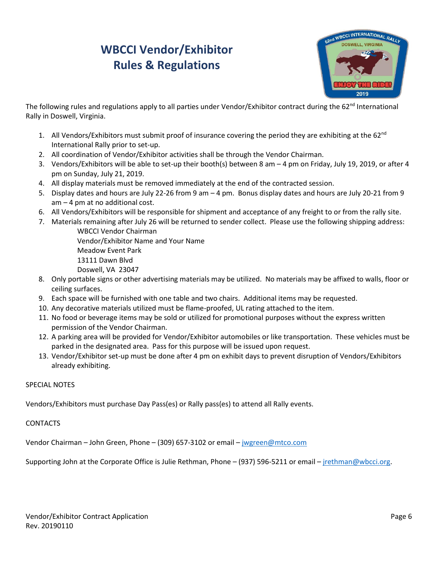# **WBCCI Vendor/Exhibitor Rules & Regulations**



The following rules and regulations apply to all parties under Vendor/Exhibitor contract during the  $62<sup>nd</sup>$  International Rally in Doswell, Virginia.

- 1. All Vendors/Exhibitors must submit proof of insurance covering the period they are exhibiting at the 62 $^{\text{nd}}$ International Rally prior to set-up.
- 2. All coordination of Vendor/Exhibitor activities shall be through the Vendor Chairman.
- 3. Vendors/Exhibitors will be able to set-up their booth(s) between 8 am 4 pm on Friday, July 19, 2019, or after 4 pm on Sunday, July 21, 2019.
- 4. All display materials must be removed immediately at the end of the contracted session.
- 5. Display dates and hours are July 22-26 from 9 am 4 pm. Bonus display dates and hours are July 20-21 from 9 am – 4 pm at no additional cost.
- 6. All Vendors/Exhibitors will be responsible for shipment and acceptance of any freight to or from the rally site.
- 7. Materials remaining after July 26 will be returned to sender collect. Please use the following shipping address: WBCCI Vendor Chairman

Vendor/Exhibitor Name and Your Name Meadow Event Park 13111 Dawn Blvd Doswell, VA 23047

- 8. Only portable signs or other advertising materials may be utilized. No materials may be affixed to walls, floor or ceiling surfaces.
- 9. Each space will be furnished with one table and two chairs. Additional items may be requested.
- 10. Any decorative materials utilized must be flame-proofed, UL rating attached to the item.
- 11. No food or beverage items may be sold or utilized for promotional purposes without the express written permission of the Vendor Chairman.
- 12. A parking area will be provided for Vendor/Exhibitor automobiles or like transportation. These vehicles must be parked in the designated area. Pass for this purpose will be issued upon request.
- 13. Vendor/Exhibitor set-up must be done after 4 pm on exhibit days to prevent disruption of Vendors/Exhibitors already exhibiting.

#### SPECIAL NOTES

Vendors/Exhibitors must purchase Day Pass(es) or Rally pass(es) to attend all Rally events.

CONTACTS

Vendor Chairman – John Green, Phone – (309) 657-3102 or email – [jwgreen@mtco.com](mailto:jwgreen@mtco.com)

Supporting John at the Corporate Office is Julie Rethman, Phone – (937) 596-5211 or email – [jrethman@wbcci.org.](mailto:jrethman@wbcci.org)